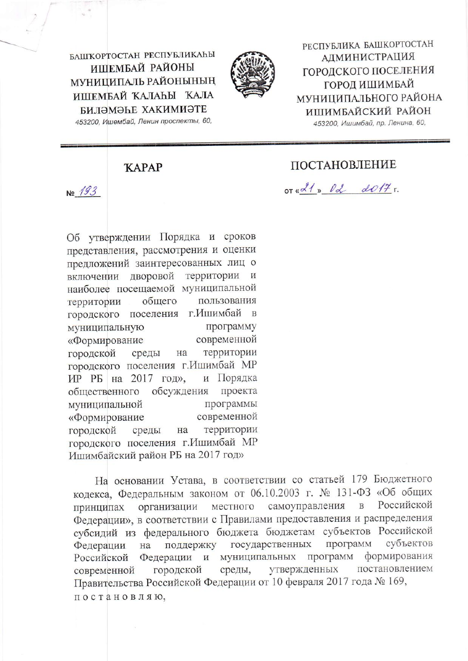БАШКОРТОСТАН РЕСПУБЛИКАҺЫ ИШЕМБАЙ РАЙОНЫ **МУНИЦИПАЛЬ РАЙОНЫНЫН** ИШЕМБАЙ КАЛАҺЫ КАЛА БИЛӘМӘҺЕ ХАКИМИӘТЕ 453200, Ишембай, Ленин проспекты, 60,



РЕСПУБЛИКА БАШКОРТОСТАН **АДМИНИСТРАЦИЯ** ГОРОДСКОГО ПОСЕЛЕНИЯ ГОРОД ИШИМБАЙ МУНИЦИПАЛЬНОГО РАЙОНА ИШИМБАЙСКИЙ РАЙОН 453200, Ишимбай, пр. Ленина, 60,

**KAPAP** 

 $N<sub>2</sub>$  193

Об утверждении Порядка и сроков представления, рассмотрения и оценки предложений заинтересованных лиц о включении дворовой территории наиболее посещаемой муниципальной общего пользования территории городского поселения г. Ишимбай в программу муниципальную современной «Формирование территории городской среды на городского поселения г. Ишимбай МР и Порядка ИР РБ на 2017 год», обсуждения проекта общественного муниципальной программы современной «Формирование территории городской среды на городского поселения г. Ишимбай МР Ишимбайский район РБ на 2017 год»

На основании Устава, в соответствии со статьей 179 Бюджетного кодекса, Федеральным законом от 06.10.2003 г. № 131-ФЗ «Об общих Российской самоуправления в местного принципах организации Федерации», в соответствии с Правилами предоставления и распределения субсидий из федерального бюджета бюджетам субъектов Российской программ субъектов государственных Федерации на поддержку Федерации и муниципальных программ формирования Российской утвержденных постановлением среды, городской современной Правительства Российской Федерации от 10 февраля 2017 года № 169, постановляю,

## ПОСТАНОВЛЕНИЕ

 $or x d1 x 0 d0 17 r.$